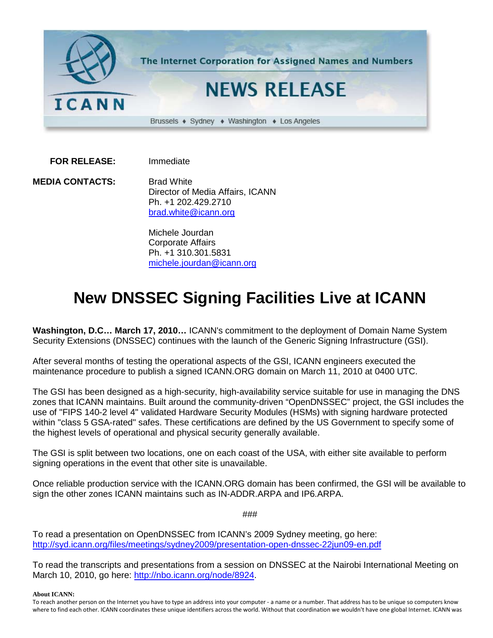

 **FOR RELEASE:** Immediate

**MEDIA CONTACTS:** Brad White Director of Media Affairs, ICANN Ph. +1 202.429.2710 [brad.white@icann.org](mailto:brad.white@icann.org)

> Michele Jourdan Corporate Affairs Ph. +1 310.301.5831 [michele.jourdan@icann.org](mailto:michele.jourdan@icann.org)

## **New DNSSEC Signing Facilities Live at ICANN**

**Washington, D.C… March 17, 2010…** ICANN's commitment to the deployment of Domain Name System Security Extensions (DNSSEC) continues with the launch of the Generic Signing Infrastructure (GSI).

After several months of testing the operational aspects of the GSI, ICANN engineers executed the maintenance procedure to publish a signed ICANN.ORG domain on March 11, 2010 at 0400 UTC.

The GSI has been designed as a high-security, high-availability service suitable for use in managing the DNS zones that ICANN maintains. Built around the community-driven "OpenDNSSEC" project, the GSI includes the use of "FIPS 140-2 level 4" validated Hardware Security Modules (HSMs) with signing hardware protected within "class 5 GSA-rated" safes. These certifications are defined by the US Government to specify some of the highest levels of operational and physical security generally available.

The GSI is split between two locations, one on each coast of the USA, with either site available to perform signing operations in the event that other site is unavailable.

Once reliable production service with the ICANN.ORG domain has been confirmed, the GSI will be available to sign the other zones ICANN maintains such as IN-ADDR.ARPA and IP6.ARPA.

###

To read a presentation on OpenDNSSEC from ICANN's 2009 Sydney meeting, go here: <http://syd.icann.org/files/meetings/sydney2009/presentation-open-dnssec-22jun09-en.pdf>

To read the transcripts and presentations from a session on DNSSEC at the Nairobi International Meeting on March 10, 2010, go here: [http://nbo.icann.org/node/8924.](http://nbo.icann.org/node/8924)

**About ICANN:**

To reach another person on the Internet you have to type an address into your computer - a name or a number. That address has to be unique so computers know where to find each other. ICANN coordinates these unique identifiers across the world. Without that coordination we wouldn't have one global Internet. ICANN was